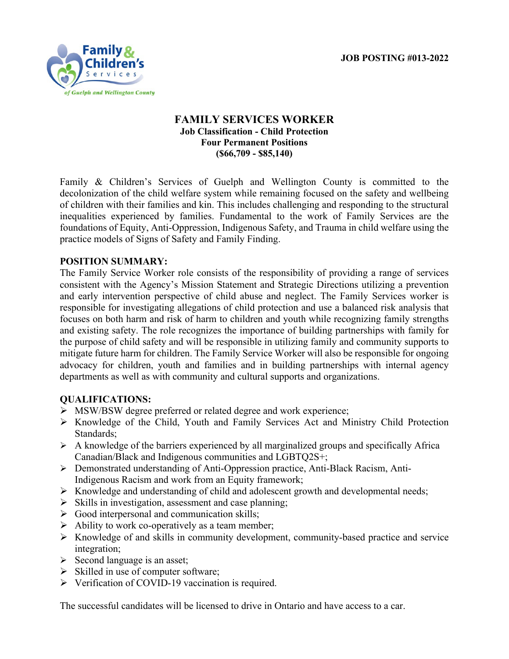**JOB POSTING #013-2022**



## **FAMILY SERVICES WORKER Job Classification - Child Protection Four Permanent Positions (\$66,709 - \$85,140)**

Family & Children's Services of Guelph and Wellington County is committed to the decolonization of the child welfare system while remaining focused on the safety and wellbeing of children with their families and kin. This includes challenging and responding to the structural inequalities experienced by families. Fundamental to the work of Family Services are the foundations of Equity, Anti-Oppression, Indigenous Safety, and Trauma in child welfare using the practice models of Signs of Safety and Family Finding.

## **POSITION SUMMARY:**

The Family Service Worker role consists of the responsibility of providing a range of services consistent with the Agency's Mission Statement and Strategic Directions utilizing a prevention and early intervention perspective of child abuse and neglect. The Family Services worker is responsible for investigating allegations of child protection and use a balanced risk analysis that focuses on both harm and risk of harm to children and youth while recognizing family strengths and existing safety. The role recognizes the importance of building partnerships with family for the purpose of child safety and will be responsible in utilizing family and community supports to mitigate future harm for children. The Family Service Worker will also be responsible for ongoing advocacy for children, youth and families and in building partnerships with internal agency departments as well as with community and cultural supports and organizations.

## **QUALIFICATIONS:**

- MSW/BSW degree preferred or related degree and work experience;
- Knowledge of the Child, Youth and Family Services Act and Ministry Child Protection Standards;
- $\triangleright$  A knowledge of the barriers experienced by all marginalized groups and specifically Africa Canadian/Black and Indigenous communities and LGBTQ2S+;
- Demonstrated understanding of Anti-Oppression practice, Anti-Black Racism, Anti-Indigenous Racism and work from an Equity framework;
- $\triangleright$  Knowledge and understanding of child and adolescent growth and developmental needs;
- $\triangleright$  Skills in investigation, assessment and case planning;
- $\triangleright$  Good interpersonal and communication skills;
- $\triangleright$  Ability to work co-operatively as a team member;
- $\triangleright$  Knowledge of and skills in community development, community-based practice and service integration;
- $\triangleright$  Second language is an asset;
- $\triangleright$  Skilled in use of computer software;
- $\triangleright$  Verification of COVID-19 vaccination is required.

The successful candidates will be licensed to drive in Ontario and have access to a car.